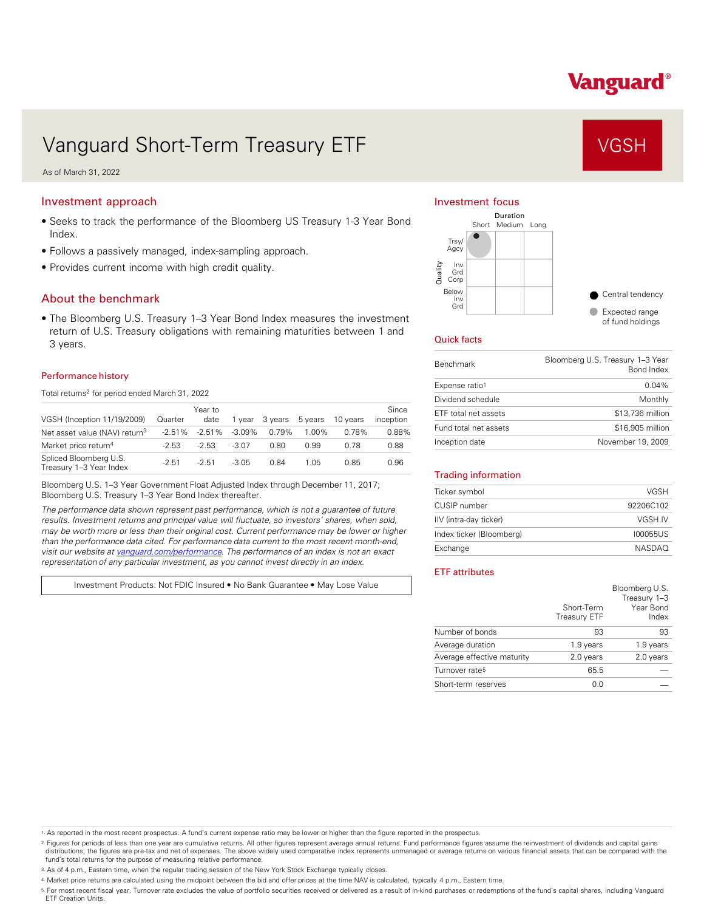# Vanguard®

# Vanguard Short-Term Treasury ETF VGSH

As of March 31, 2022

# Investment approach

- Seeks to track the performance of the Bloomberg US Treasury 1-3 Year Bond Index.
- Follows a passively managed, index-sampling approach.
- Provides current income with high credit quality.

## About the benchmark

• The Bloomberg U.S. Treasury 1–3 Year Bond Index measures the investment return of U.S. Treasury obligations with remaining maturities between 1 and 3 years.

## Performance history

Total returns<sup>2</sup> for period ended March 31, 2022

| VGSH (Inception 11/19/2009)                       | Quarter   | Year to<br>date | vear      | 3 vears | 5 years | 10 years | Since<br>inception |
|---------------------------------------------------|-----------|-----------------|-----------|---------|---------|----------|--------------------|
| Net asset value (NAV) return <sup>3</sup>         | $-2.51\%$ | $-2.51\%$       | $-3.09\%$ | 0.79%   | 1.00%   | 0.78%    | 0.88%              |
| Market price return <sup>4</sup>                  | $-2.53$   | $-2.53$         | $-3.07$   | 0.80    | 0.99    | በ 78     | 0.88               |
| Spliced Bloomberg U.S.<br>Treasury 1-3 Year Index | $-2.51$   | $-2.51$         | $-3.05$   | 0.84    | 1.05    | 0.85     | 0.96               |

Bloomberg U.S. 1–3 Year Government Float Adjusted Index through December 11, 2017; Bloomberg U.S. Treasury 1–3 Year Bond Index thereafter.

*The performance data shown represent past performance, which is not a guarantee of future results. Investment returns and principal value will fluctuate, so investors' shares, when sold, may be worth more or less than their original cost. Current performance may be lower or higher than the performance data cited. For performance data current to the most recent month-end, visit our website at [vanguard.com/performance .](http://www.vanguard.com/performance) The performance of an index is not an exact representation of any particular investment, as you cannot invest directly in an index.* 

Investment Products: Not FDIC Insured • No Bank Guarantee • May Lose Value

## Investment focus



#### Quick facts

| <b>Benchmark</b>      | Bloomberg U.S. Treasury 1-3 Year<br>Bond Index |
|-----------------------|------------------------------------------------|
| Expense ratio1        | $0.04\%$                                       |
| Dividend schedule     | Monthly                                        |
| ETF total net assets  | \$13,736 million                               |
| Fund total net assets | \$16,905 million                               |
| Inception date        | November 19, 2009                              |

#### Trading information

| Ticker symbol            | VGSH          |
|--------------------------|---------------|
| CUSIP number             | 92206C102     |
| IIV (intra-day ticker)   | VGSH.IV       |
| Index ticker (Bloomberg) | 100055US      |
| Exchange                 | <b>NASDAO</b> |

### ETF attributes

|                            | Short-Term<br>Treasury ETF | Bloomberg U.S.<br>Treasury 1-3<br>Year Bond<br>Index |
|----------------------------|----------------------------|------------------------------------------------------|
| Number of bonds            | 93                         | 93                                                   |
| Average duration           | 1.9 years                  | 1.9 years                                            |
| Average effective maturity | 2.0 years                  | 2.0 years                                            |
| Turnover rate <sup>5</sup> | 65.5                       |                                                      |
| Short-term reserves        | 0.0                        |                                                      |

1. As reported in the most recent prospectus. A fund's current expense ratio may be lower or higher than the figure reported in the prospectus.

2. Figures for periods of less than one year are cumulative returns. All other figures represent average annual returns. Fund performance figures assume the reinvestment of dividends and capital gains distributions; the figures are pre-tax and net of expenses. The above widely used comparative index represents unmanaged or average returns on various financial assets that can be compared with the<br>fund's total returns for

3. As of 4 p.m., Eastern time, when the regular trading session of the New York Stock Exchange typically closes.

4. Market price returns are calculated using the midpoint between the bid and offer prices at the time NAV is calculated, typically 4 p.m., Eastern time.

<sup>5.</sup> For most recent fiscal year. Turnover rate excludes the value of portfolio securities received or delivered as a result of in-kind purchases or redemptions of the fund's capital shares, including Vanguard<br>ETF Creation